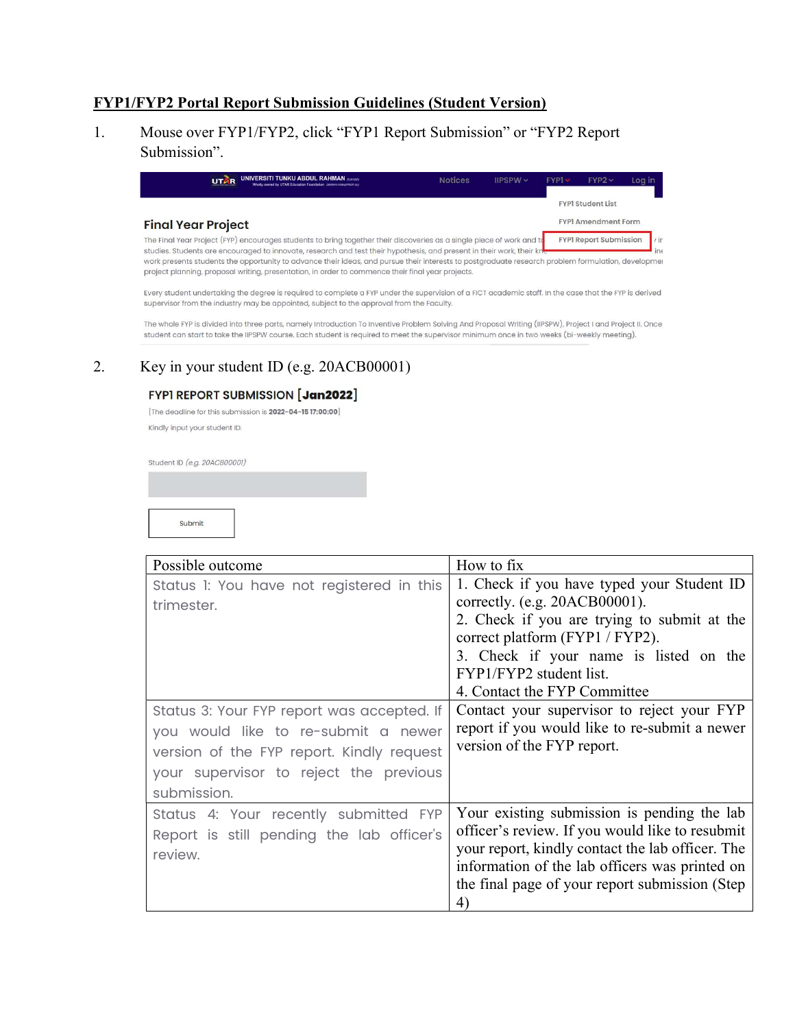### FYP1/FYP2 Portal Report Submission Guidelines (Student Version)

1. Mouse over FYP1/FYP2, click "FYP1 Report Submission" or "FYP2 Report Submission".

| <b>UNIVERSITI TUNKU ABDUL RAHMAN DUOTING</b><br><b>UTAR</b><br>Wholly owned by UTAR Education Foundation recognizes and ac-                                                                                                                                                                                                                                                        | <b>Notices</b> | $IIPSPW \sim$ | $FYPI \times$ | $FYP2 \vee$                   | Log in        |
|------------------------------------------------------------------------------------------------------------------------------------------------------------------------------------------------------------------------------------------------------------------------------------------------------------------------------------------------------------------------------------|----------------|---------------|---------------|-------------------------------|---------------|
|                                                                                                                                                                                                                                                                                                                                                                                    |                |               |               | <b>FYPI Student List</b>      |               |
| <b>Final Year Project</b>                                                                                                                                                                                                                                                                                                                                                          |                |               |               | <b>FYPI Amendment Form</b>    |               |
| The Final Year Project (FYP) encourages students to bring together their discoveries as a single piece of work and to                                                                                                                                                                                                                                                              |                |               |               | <b>FYPI Report Submission</b> | $\frac{1}{r}$ |
| studies. Students are encouraged to innovate, research and test their hypothesis, and present in their work, their kne<br>work presents students the opportunity to advance their ideas, and pursue their interests to postgraduate research problem formulation, development<br>project planning, proposal writing, presentation, in order to commence their final year projects. |                |               |               |                               | ine           |

Every student undertaking the degree is required to complete a FYP under the supervision of a FICT academic staff. In the case that the FYP is derived supervisor from the industry may be appointed, subject to the approval from the Faculty.

The whole FYP is divided into three parts, namely Introduction To Inventive Problem Solving And Proposal Writing (IIPSPW), Project I and Project II. Once student can start to take the IIPSPW course. Each student is required to meet the supervisor minimum once in two weeks (bi-weekly meeting).

## 2. Key in your student ID (e.g. 20ACB00001)

### **FYPI REPORT SUBMISSION [Jan2022]**

[The deadline for this submission is 2022-04-15 17:00:00] Kindly input your student ID.

Student ID (e.g. 20ACB00001)

Submit

| Possible outcome                           | How to fix                                       |
|--------------------------------------------|--------------------------------------------------|
| Status I: You have not registered in this  | 1. Check if you have typed your Student ID       |
| trimester.                                 | correctly. (e.g. 20ACB00001).                    |
|                                            | 2. Check if you are trying to submit at the      |
|                                            | correct platform (FYP1 / FYP2).                  |
|                                            | 3. Check if your name is listed on the           |
|                                            | FYP1/FYP2 student list.                          |
|                                            | 4. Contact the FYP Committee                     |
| Status 3: Your FYP report was accepted. If | Contact your supervisor to reject your FYP       |
| you would like to re-submit a newer        | report if you would like to re-submit a newer    |
| version of the FYP report. Kindly request  | version of the FYP report.                       |
| your supervisor to reject the previous     |                                                  |
| submission.                                |                                                  |
| Status 4: Your recently submitted FYP      | Your existing submission is pending the lab      |
| Report is still pending the lab officer's  | officer's review. If you would like to resubmit  |
| review.                                    | your report, kindly contact the lab officer. The |
|                                            | information of the lab officers was printed on   |
|                                            | the final page of your report submission (Step   |
|                                            | 4)                                               |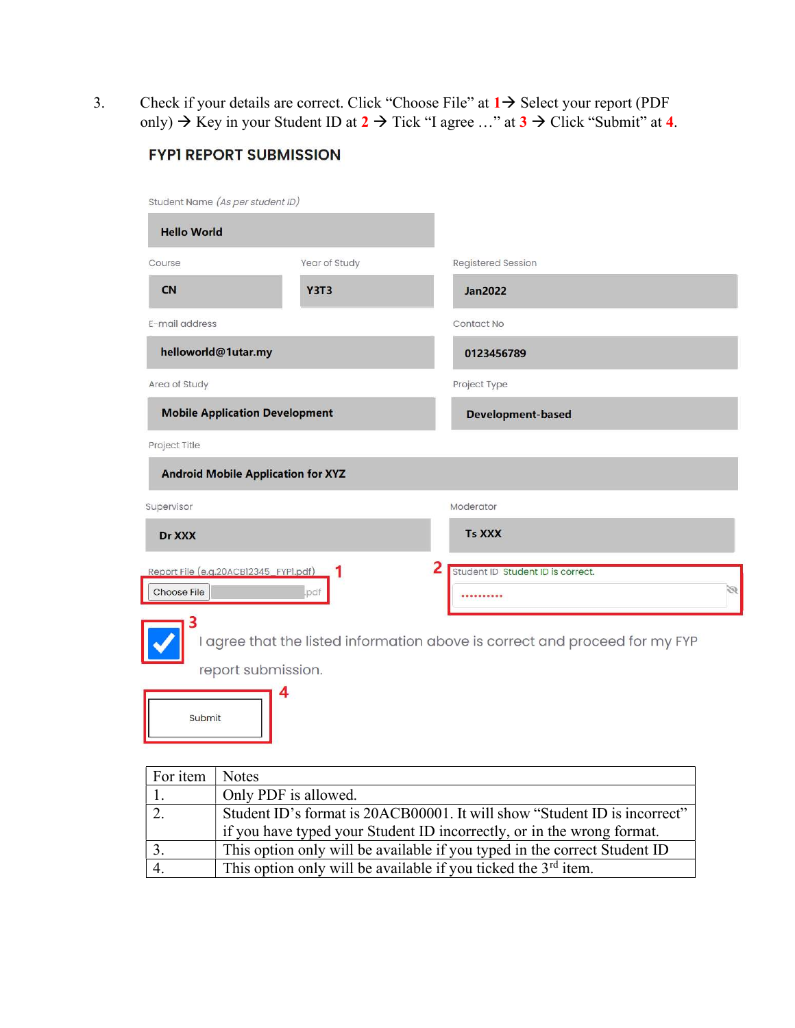3. Check if your details are correct. Click "Choose File" at  $1 \rightarrow$  Select your report (PDF only)  $\rightarrow$  Key in your Student ID at  $2 \rightarrow$  Tick "I agree ..." at  $3 \rightarrow$  Click "Submit" at 4.

| Student Name (As per student ID)                     |               |                                                                             |
|------------------------------------------------------|---------------|-----------------------------------------------------------------------------|
| <b>Hello World</b>                                   |               |                                                                             |
| Course                                               | Year of Study | Registered Session                                                          |
| <b>CN</b>                                            | <b>Y3T3</b>   | <b>Jan2022</b>                                                              |
| E-mail address                                       |               | Contact No                                                                  |
| helloworld@1utar.my                                  |               | 0123456789                                                                  |
| Area of Study                                        |               | Project Type                                                                |
| <b>Mobile Application Development</b>                |               | <b>Development-based</b>                                                    |
| Project Title                                        |               |                                                                             |
| <b>Android Mobile Application for XYZ</b>            |               |                                                                             |
| Supervisor                                           |               | Moderator                                                                   |
| Dr XXX                                               |               | <b>Ts XXX</b>                                                               |
| Report File (e.g.20ACB12345_FYP1.pdf)<br>Choose File | .pdf          | 2<br>Student ID Student ID is correct.<br>Ø                                 |
|                                                      |               | I agree that the listed information above is correct and proceed for my FYP |
| report submission.                                   |               |                                                                             |
|                                                      | 4             |                                                                             |

## **FYPI REPORT SUBMISSION**

Submit

| For item | <b>Notes</b>                                                              |
|----------|---------------------------------------------------------------------------|
|          | Only PDF is allowed.                                                      |
|          | Student ID's format is 20ACB00001. It will show "Student ID is incorrect" |
|          | if you have typed your Student ID incorrectly, or in the wrong format.    |
|          | This option only will be available if you typed in the correct Student ID |
|          | This option only will be available if you ticked the $3rd$ item.          |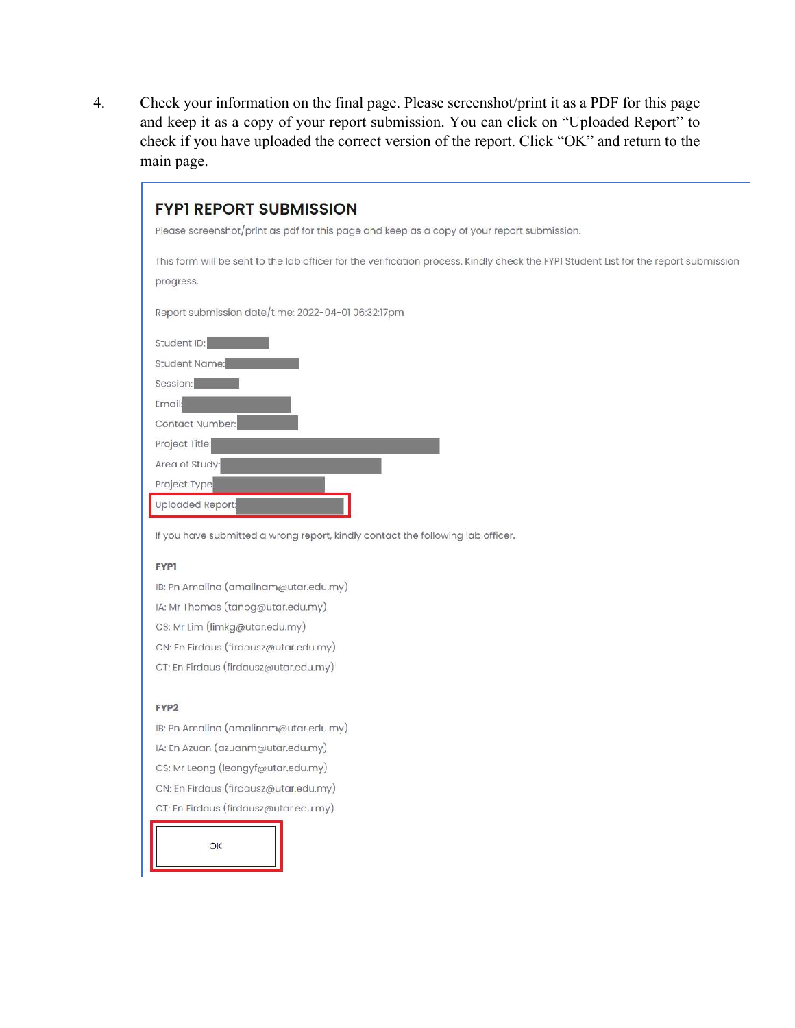$\overline{4}$ . Check your information on the final page. Please screenshot/print it as a PDF for this page and keep it as a copy of your report submission. You can click on "Uploaded Report" to check if you have uploaded the correct version of the report. Click "OK" and return to the main page.

# **FYPI REPORT SUBMISSION** Please screenshot/print as pdf for this page and keep as a copy of your report submission. This form will be sent to the lab officer for the verification process. Kindly check the FYPI Student List for the report submission progress. Report submission date/time: 2022-04-01 06:32:17pm Student ID: Student Name: Session: Email Contact Number: Project Title: Area of Study: Project Type **Uploaded Report**

If you have submitted a wrong report, kindly contact the following lab officer.

#### **FYP1**

IB: Pn Amalina (amalinam@utar.edu.my) IA: Mr Thomas (tanbg@utar.edu.my) CS: Mr Lim (limkg@utar.edu.my) CN: En Firdaus (firdausz@utar.edu.my) CT: En Firdaus (firdausz@utar.edu.my)

#### FYP2

IB: Pn Amalina (amalinam@utar.edu.my) IA: En Azuan (azuanm@utar.edu.my) CS: Mr Leong (leongyf@utar.edu.my) CN: En Firdaus (firdausz@utar.edu.my) CT: En Firdaus (firdausz@utar.edu.my)

OK